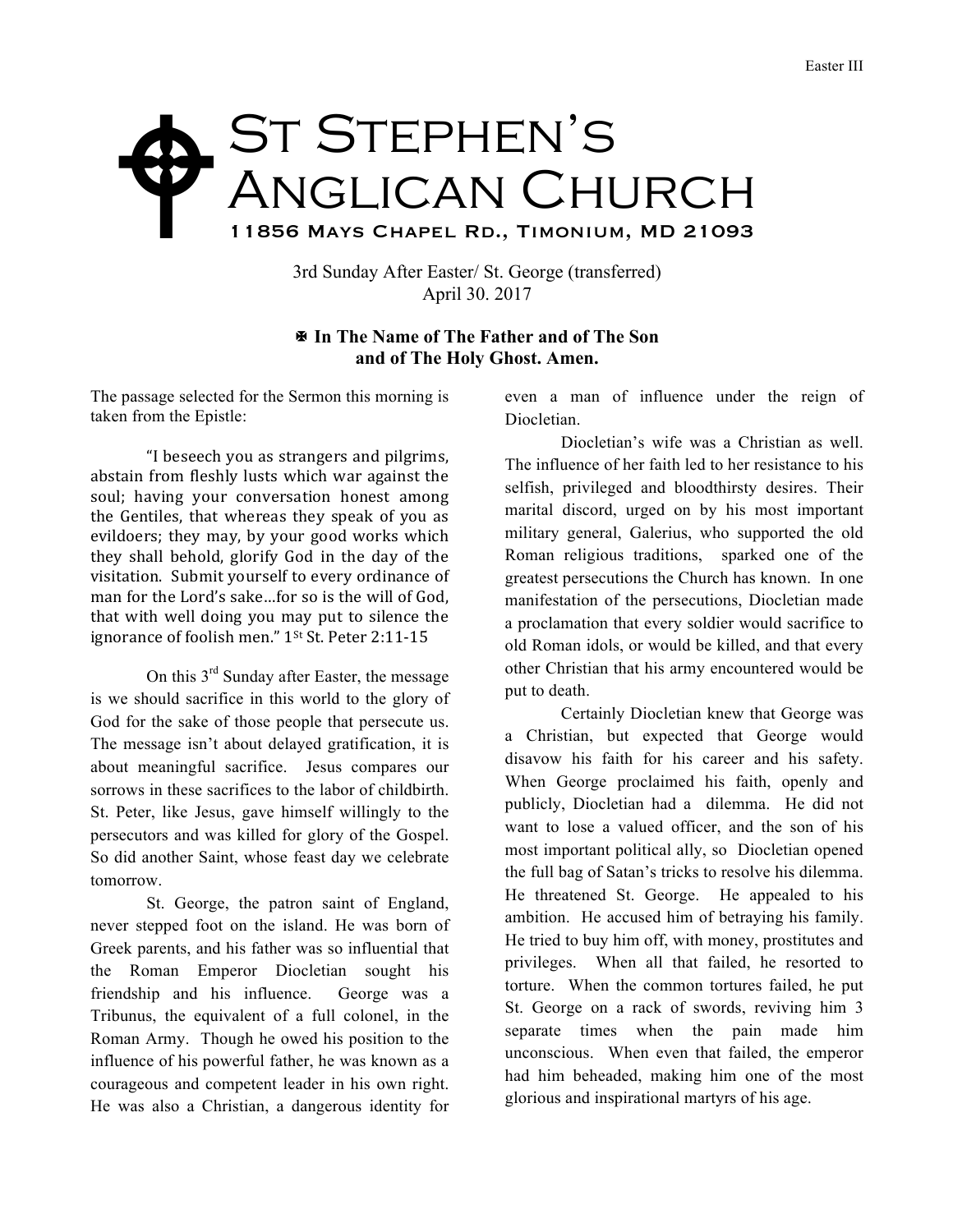## St Stephen's Anglican Church 11856 Mays Chapel Rd., Timonium, MD 21093  $\blacklozenge$

3rd Sunday After Easter/ St. George (transferred) April 30. 2017

## X **In The Name of The Father and of The Son and of The Holy Ghost. Amen.**

The passage selected for the Sermon this morning is taken from the Epistle:

"I beseech you as strangers and pilgrims, abstain from fleshly lusts which war against the soul; having your conversation honest among the Gentiles, that whereas they speak of you as evildoers; they may, by your good works which they shall behold, glorify God in the day of the visitation. Submit yourself to every ordinance of man for the Lord's sake...for so is the will of God. that with well doing you may put to silence the ignorance of foolish men." 1<sup>st</sup> St. Peter 2:11-15

On this 3<sup>rd</sup> Sunday after Easter, the message is we should sacrifice in this world to the glory of God for the sake of those people that persecute us. The message isn't about delayed gratification, it is about meaningful sacrifice. Jesus compares our sorrows in these sacrifices to the labor of childbirth. St. Peter, like Jesus, gave himself willingly to the persecutors and was killed for glory of the Gospel. So did another Saint, whose feast day we celebrate tomorrow.

St. George, the patron saint of England, never stepped foot on the island. He was born of Greek parents, and his father was so influential that the Roman Emperor Diocletian sought his friendship and his influence. George was a Tribunus, the equivalent of a full colonel, in the Roman Army. Though he owed his position to the influence of his powerful father, he was known as a courageous and competent leader in his own right. He was also a Christian, a dangerous identity for

even a man of influence under the reign of Diocletian.

Diocletian's wife was a Christian as well. The influence of her faith led to her resistance to his selfish, privileged and bloodthirsty desires. Their marital discord, urged on by his most important military general, Galerius, who supported the old Roman religious traditions, sparked one of the greatest persecutions the Church has known. In one manifestation of the persecutions, Diocletian made a proclamation that every soldier would sacrifice to old Roman idols, or would be killed, and that every other Christian that his army encountered would be put to death.

Certainly Diocletian knew that George was a Christian, but expected that George would disavow his faith for his career and his safety. When George proclaimed his faith, openly and publicly, Diocletian had a dilemma. He did not want to lose a valued officer, and the son of his most important political ally, so Diocletian opened the full bag of Satan's tricks to resolve his dilemma. He threatened St. George. He appealed to his ambition. He accused him of betraying his family. He tried to buy him off, with money, prostitutes and privileges. When all that failed, he resorted to torture. When the common tortures failed, he put St. George on a rack of swords, reviving him 3 separate times when the pain made him unconscious. When even that failed, the emperor had him beheaded, making him one of the most glorious and inspirational martyrs of his age.